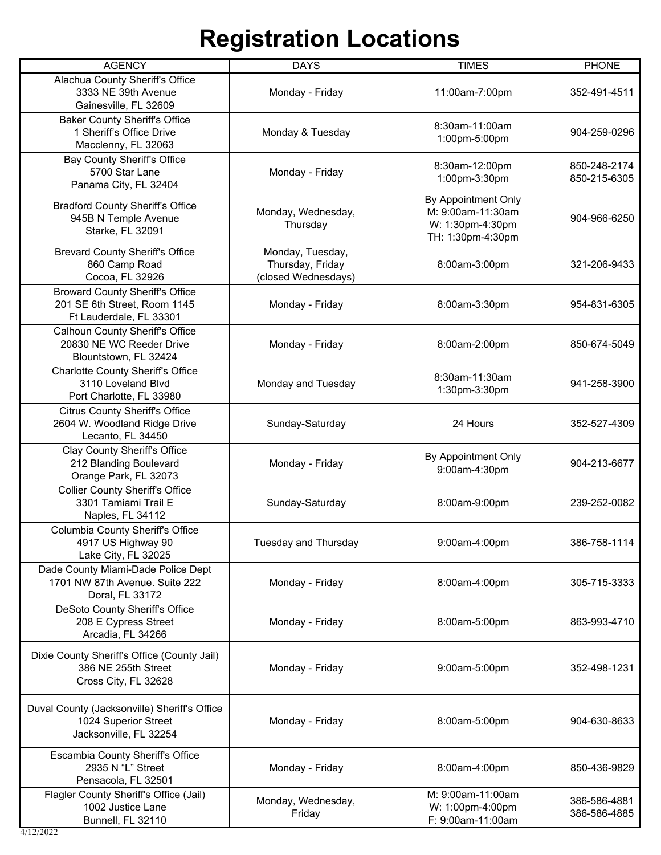| <b>AGENCY</b>                                                                                     | <b>DAYS</b>                                                 | <b>TIMES</b>                                                                      | <b>PHONE</b>                 |
|---------------------------------------------------------------------------------------------------|-------------------------------------------------------------|-----------------------------------------------------------------------------------|------------------------------|
| Alachua County Sheriff's Office<br>3333 NE 39th Avenue<br>Gainesville, FL 32609                   | Monday - Friday                                             | 11:00am-7:00pm                                                                    | 352-491-4511                 |
| <b>Baker County Sheriff's Office</b><br>1 Sheriff's Office Drive<br>Macclenny, FL 32063           | Monday & Tuesday                                            | 8:30am-11:00am<br>1:00pm-5:00pm                                                   | 904-259-0296                 |
| <b>Bay County Sheriff's Office</b><br>5700 Star Lane<br>Panama City, FL 32404                     | Monday - Friday                                             | 8:30am-12:00pm<br>1:00pm-3:30pm                                                   | 850-248-2174<br>850-215-6305 |
| <b>Bradford County Sheriff's Office</b><br>945B N Temple Avenue<br>Starke, FL 32091               | Monday, Wednesday,<br>Thursday                              | By Appointment Only<br>M: 9:00am-11:30am<br>W: 1:30pm-4:30pm<br>TH: 1:30pm-4:30pm | 904-966-6250                 |
| <b>Brevard County Sheriff's Office</b><br>860 Camp Road<br>Cocoa, FL 32926                        | Monday, Tuesday,<br>Thursday, Friday<br>(closed Wednesdays) | 8:00am-3:00pm                                                                     | 321-206-9433                 |
| <b>Broward County Sheriff's Office</b><br>201 SE 6th Street, Room 1145<br>Ft Lauderdale, FL 33301 | Monday - Friday                                             | 8:00am-3:30pm                                                                     | 954-831-6305                 |
| <b>Calhoun County Sheriff's Office</b><br>20830 NE WC Reeder Drive<br>Blountstown, FL 32424       | Monday - Friday                                             | 8:00am-2:00pm                                                                     | 850-674-5049                 |
| <b>Charlotte County Sheriff's Office</b><br>3110 Loveland Blvd<br>Port Charlotte, FL 33980        | Monday and Tuesday                                          | 8:30am-11:30am<br>1:30pm-3:30pm                                                   | 941-258-3900                 |
| <b>Citrus County Sheriff's Office</b><br>2604 W. Woodland Ridge Drive<br>Lecanto, FL 34450        | Sunday-Saturday                                             | 24 Hours                                                                          | 352-527-4309                 |
| Clay County Sheriff's Office<br>212 Blanding Boulevard<br>Orange Park, FL 32073                   | Monday - Friday                                             | By Appointment Only<br>9:00am-4:30pm                                              | 904-213-6677                 |
| <b>Collier County Sheriff's Office</b><br>3301 Tamiami Trail E<br>Naples, FL 34112                | Sunday-Saturday                                             | 8:00am-9:00pm                                                                     | 239-252-0082                 |
| Columbia County Sheriff's Office<br>4917 US Highway 90<br>Lake City, FL 32025                     | Tuesday and Thursday                                        | 9:00am-4:00pm                                                                     | 386-758-1114                 |
| Dade County Miami-Dade Police Dept<br>1701 NW 87th Avenue. Suite 222<br>Doral, FL 33172           | Monday - Friday                                             | 8:00am-4:00pm                                                                     | 305-715-3333                 |
| DeSoto County Sheriff's Office<br>208 E Cypress Street<br>Arcadia, FL 34266                       | Monday - Friday                                             | 8:00am-5:00pm                                                                     | 863-993-4710                 |
| Dixie County Sheriff's Office (County Jail)<br>386 NE 255th Street<br>Cross City, FL 32628        | Monday - Friday                                             | 9:00am-5:00pm                                                                     | 352-498-1231                 |
| Duval County (Jacksonville) Sheriff's Office<br>1024 Superior Street<br>Jacksonville, FL 32254    | Monday - Friday                                             | 8:00am-5:00pm                                                                     | 904-630-8633                 |
| Escambia County Sheriff's Office<br>2935 N "L" Street<br>Pensacola, FL 32501                      | Monday - Friday                                             | 8:00am-4:00pm                                                                     | 850-436-9829                 |
| Flagler County Sheriff's Office (Jail)<br>1002 Justice Lane<br>Bunnell, FL 32110                  | Monday, Wednesday,<br>Friday                                | M: 9:00am-11:00am<br>W: 1:00pm-4:00pm<br>F: 9:00am-11:00am                        | 386-586-4881<br>386-586-4885 |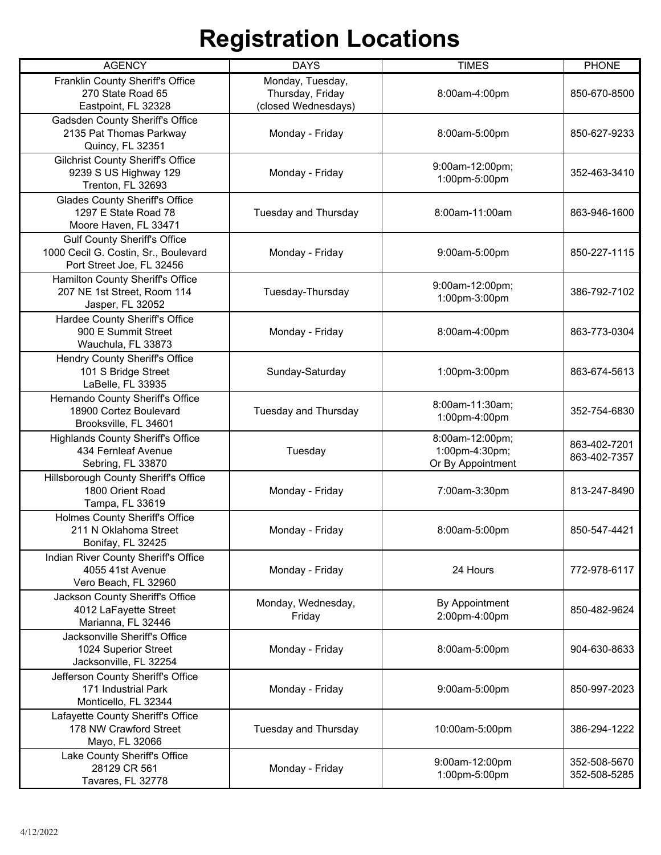| <b>AGENCY</b>                                                                                            | <b>DAYS</b>                                                 | <b>TIMES</b>                                           | <b>PHONE</b>                 |
|----------------------------------------------------------------------------------------------------------|-------------------------------------------------------------|--------------------------------------------------------|------------------------------|
| Franklin County Sheriff's Office<br>270 State Road 65<br>Eastpoint, FL 32328                             | Monday, Tuesday,<br>Thursday, Friday<br>(closed Wednesdays) | 8:00am-4:00pm                                          | 850-670-8500                 |
| Gadsden County Sheriff's Office<br>2135 Pat Thomas Parkway<br>Quincy, FL 32351                           | Monday - Friday                                             | 8:00am-5:00pm                                          | 850-627-9233                 |
| <b>Gilchrist County Sheriff's Office</b><br>9239 S US Highway 129<br>Trenton, FL 32693                   | Monday - Friday                                             | 9:00am-12:00pm;<br>1:00pm-5:00pm                       | 352-463-3410                 |
| <b>Glades County Sheriff's Office</b><br>1297 E State Road 78<br>Moore Haven, FL 33471                   | Tuesday and Thursday                                        | 8:00am-11:00am                                         | 863-946-1600                 |
| <b>Gulf County Sheriff's Office</b><br>1000 Cecil G. Costin, Sr., Boulevard<br>Port Street Joe, FL 32456 | Monday - Friday                                             | 9:00am-5:00pm                                          | 850-227-1115                 |
| Hamilton County Sheriff's Office<br>207 NE 1st Street, Room 114<br>Jasper, FL 32052                      | Tuesday-Thursday                                            | 9:00am-12:00pm;<br>1:00pm-3:00pm                       | 386-792-7102                 |
| Hardee County Sheriff's Office<br>900 E Summit Street<br>Wauchula, FL 33873                              | Monday - Friday                                             | 8:00am-4:00pm                                          | 863-773-0304                 |
| Hendry County Sheriff's Office<br>101 S Bridge Street<br>LaBelle, FL 33935                               | Sunday-Saturday                                             | 1:00pm-3:00pm                                          | 863-674-5613                 |
| Hernando County Sheriff's Office<br>18900 Cortez Boulevard<br>Brooksville, FL 34601                      | Tuesday and Thursday                                        | 8:00am-11:30am;<br>1:00pm-4:00pm                       | 352-754-6830                 |
| <b>Highlands County Sheriff's Office</b><br>434 Fernleaf Avenue<br>Sebring, FL 33870                     | Tuesday                                                     | 8:00am-12:00pm;<br>1:00pm-4:30pm;<br>Or By Appointment | 863-402-7201<br>863-402-7357 |
| Hillsborough County Sheriff's Office<br>1800 Orient Road<br>Tampa, FL 33619                              | Monday - Friday                                             | 7:00am-3:30pm                                          | 813-247-8490                 |
| Holmes County Sheriff's Office<br>211 N Oklahoma Street<br>Bonifay, FL 32425                             | Monday - Friday                                             | 8:00am-5:00pm                                          | 850-547-4421                 |
| Indian River County Sheriff's Office<br>4055 41st Avenue<br>Vero Beach, FL 32960                         | Monday - Friday                                             | 24 Hours                                               | 772-978-6117                 |
| Jackson County Sheriff's Office<br>4012 LaFayette Street<br>Marianna, FL 32446                           | Monday, Wednesday,<br>Friday                                | By Appointment<br>2:00pm-4:00pm                        | 850-482-9624                 |
| Jacksonville Sheriff's Office<br>1024 Superior Street<br>Jacksonville, FL 32254                          | Monday - Friday                                             | 8:00am-5:00pm                                          | 904-630-8633                 |
| Jefferson County Sheriff's Office<br>171 Industrial Park<br>Monticello, FL 32344                         | Monday - Friday                                             | 9:00am-5:00pm                                          | 850-997-2023                 |
| Lafayette County Sheriff's Office<br>178 NW Crawford Street<br>Mayo, FL 32066                            | Tuesday and Thursday                                        | 10:00am-5:00pm                                         | 386-294-1222                 |
| Lake County Sheriff's Office<br>28129 CR 561<br>Tavares, FL 32778                                        | Monday - Friday                                             | 9:00am-12:00pm<br>1:00pm-5:00pm                        | 352-508-5670<br>352-508-5285 |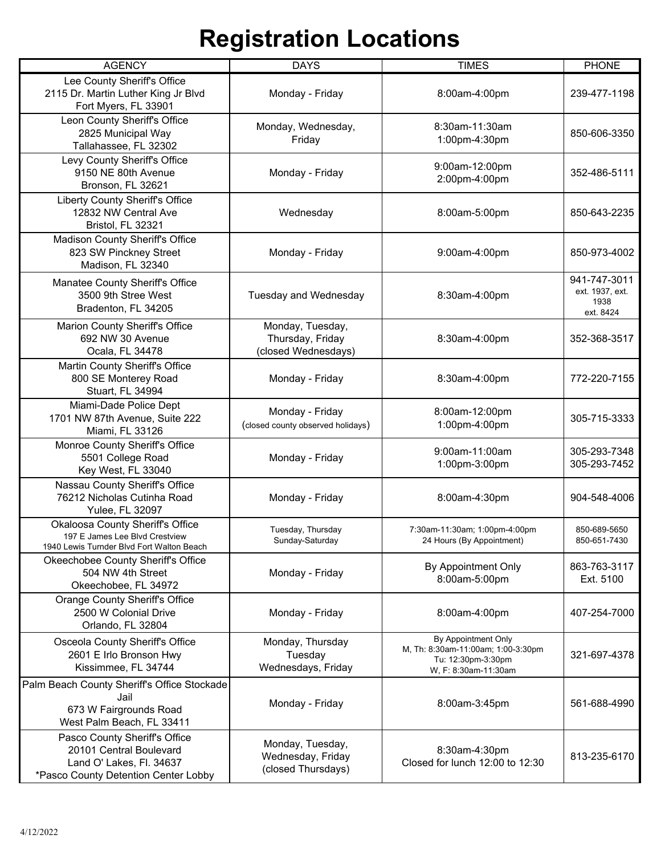| <b>AGENCY</b>                                                                                                                | <b>DAYS</b>                                                 | <b>TIMES</b>                                                                                            | <b>PHONE</b>                                         |
|------------------------------------------------------------------------------------------------------------------------------|-------------------------------------------------------------|---------------------------------------------------------------------------------------------------------|------------------------------------------------------|
| Lee County Sheriff's Office<br>2115 Dr. Martin Luther King Jr Blvd<br>Fort Myers, FL 33901                                   | Monday - Friday                                             | 8:00am-4:00pm                                                                                           | 239-477-1198                                         |
| Leon County Sheriff's Office<br>2825 Municipal Way<br>Tallahassee, FL 32302                                                  | Monday, Wednesday,<br>Friday                                | 8:30am-11:30am<br>1:00pm-4:30pm                                                                         | 850-606-3350                                         |
| Levy County Sheriff's Office<br>9150 NE 80th Avenue<br>Bronson, FL 32621                                                     | Monday - Friday                                             | 9:00am-12:00pm<br>2:00pm-4:00pm                                                                         | 352-486-5111                                         |
| Liberty County Sheriff's Office<br>12832 NW Central Ave<br>Bristol, FL 32321                                                 | Wednesday                                                   | 8:00am-5:00pm                                                                                           | 850-643-2235                                         |
| Madison County Sheriff's Office<br>823 SW Pinckney Street<br>Madison, FL 32340                                               | Monday - Friday                                             | 9:00am-4:00pm                                                                                           | 850-973-4002                                         |
| Manatee County Sheriff's Office<br>3500 9th Stree West<br>Bradenton, FL 34205                                                | Tuesday and Wednesday                                       | 8:30am-4:00pm                                                                                           | 941-747-3011<br>ext. 1937, ext.<br>1938<br>ext. 8424 |
| Marion County Sheriff's Office<br>692 NW 30 Avenue<br>Ocala, FL 34478                                                        | Monday, Tuesday,<br>Thursday, Friday<br>(closed Wednesdays) | 8:30am-4:00pm                                                                                           | 352-368-3517                                         |
| Martin County Sheriff's Office<br>800 SE Monterey Road<br>Stuart, FL 34994                                                   | Monday - Friday                                             | 8:30am-4:00pm                                                                                           | 772-220-7155                                         |
| Miami-Dade Police Dept<br>1701 NW 87th Avenue, Suite 222<br>Miami, FL 33126                                                  | Monday - Friday<br>(closed county observed holidays)        | 8:00am-12:00pm<br>1:00pm-4:00pm                                                                         | 305-715-3333                                         |
| Monroe County Sheriff's Office<br>5501 College Road<br>Key West, FL 33040                                                    | Monday - Friday                                             | 9:00am-11:00am<br>1:00pm-3:00pm                                                                         | 305-293-7348<br>305-293-7452                         |
| Nassau County Sheriff's Office<br>76212 Nicholas Cutinha Road<br>Yulee, FL 32097                                             | Monday - Friday                                             | 8:00am-4:30pm                                                                                           | 904-548-4006                                         |
| <b>Okaloosa County Sheriff's Office</b><br>197 E James Lee Blyd Crestview<br>1940 Lewis Turnder Blvd Fort Walton Beach       | Tuesday, Thursday<br>Sunday-Saturday                        | 7:30am-11:30am; 1:00pm-4:00pm<br>24 Hours (By Appointment)                                              | 850-689-5650<br>850-651-7430                         |
| Okeechobee County Sheriff's Office<br>504 NW 4th Street<br>Okeechobee, FL 34972                                              | Monday - Friday                                             | By Appointment Only<br>8:00am-5:00pm                                                                    | 863-763-3117<br>Ext. 5100                            |
| <b>Orange County Sheriff's Office</b><br>2500 W Colonial Drive<br>Orlando, FL 32804                                          | Monday - Friday                                             | 8:00am-4:00pm                                                                                           | 407-254-7000                                         |
| Osceola County Sheriff's Office<br>2601 E Irlo Bronson Hwy<br>Kissimmee, FL 34744                                            | Monday, Thursday<br>Tuesday<br>Wednesdays, Friday           | By Appointment Only<br>M, Th: 8:30am-11:00am; 1:00-3:30pm<br>Tu: 12:30pm-3:30pm<br>W. F: 8:30am-11:30am | 321-697-4378                                         |
| Palm Beach County Sheriff's Office Stockade<br>Jail<br>673 W Fairgrounds Road<br>West Palm Beach, FL 33411                   | Monday - Friday                                             | 8:00am-3:45pm                                                                                           | 561-688-4990                                         |
| Pasco County Sheriff's Office<br>20101 Central Boulevard<br>Land O' Lakes, Fl. 34637<br>*Pasco County Detention Center Lobby | Monday, Tuesday,<br>Wednesday, Friday<br>(closed Thursdays) | 8:30am-4:30pm<br>Closed for lunch 12:00 to 12:30                                                        | 813-235-6170                                         |